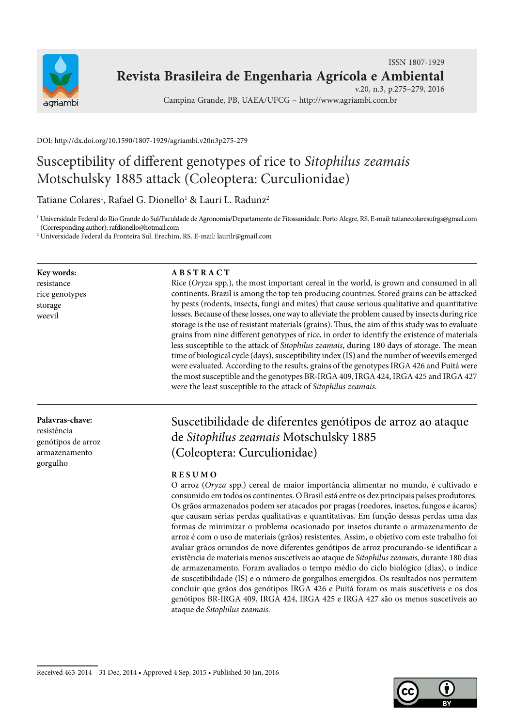

### **Revista Brasileira de Engenharia Agrícola e Ambiental** ISSN 1807-1929

v.20, n.3, p.275–279, 2016

Campina Grande, PB, UAEA/UFCG – http://www.agriambi.com.br

DOI: http://dx.doi.org/10.1590/1807-1929/agriambi.v20n3p275-279

# Susceptibility of different genotypes of rice to *Sitophilus zeamais* Motschulsky 1885 attack (Coleoptera: Curculionidae)

Tatiane Colares<sup>1</sup>, Rafael G. Dionello<sup>1</sup> & Lauri L. Radunz<sup>2</sup>

1 Universidade Federal do Rio Grande do Sul/Faculdade de Agronomia/Departamento de Fitossanidade. Porto Alegre, RS. E-mail: tatianecolaresufrgs@gmail.com (Corresponding author); rafdionello@hotmail.com

2 Universidade Federal da Fronteira Sul. Erechim, RS. E-mail: laurilr@gmail.com

**Key words:** resistance rice genotypes storage weevil

**Palavras-chave:** resistência

genótipos de arroz armazenamento gorgulho

#### **A B S T R A C T**

Rice (*Oryza* spp.), the most important cereal in the world, is grown and consumed in all continents. Brazil is among the top ten producing countries. Stored grains can be attacked by pests (rodents, insects, fungi and mites) that cause serious qualitative and quantitative losses. Because of these losses, one way to alleviate the problem caused by insects during rice storage is the use of resistant materials (grains). Thus, the aim of this study was to evaluate grains from nine different genotypes of rice, in order to identify the existence of materials less susceptible to the attack of *Sitophilus zeamais*, during 180 days of storage. The mean time of biological cycle (days), susceptibility index (IS) and the number of weevils emerged were evaluated. According to the results, grains of the genotypes IRGA 426 and Puitá were the most susceptible and the genotypes BR-IRGA 409, IRGA 424, IRGA 425 and IRGA 427 were the least susceptible to the attack of *Sitophilus zeamais*.

## Suscetibilidade de diferentes genótipos de arroz ao ataque de *Sitophilus zeamais* Motschulsky 1885 (Coleoptera: Curculionidae)

#### **R E S U M O**

O arroz (*Oryza* spp.) cereal de maior importância alimentar no mundo, é cultivado e consumido em todos os continentes. O Brasil está entre os dez principais países produtores. Os grãos armazenados podem ser atacados por pragas (roedores, insetos, fungos e ácaros) que causam sérias perdas qualitativas e quantitativas. Em função dessas perdas uma das formas de minimizar o problema ocasionado por insetos durante o armazenamento de arroz é com o uso de materiais (grãos) resistentes. Assim, o objetivo com este trabalho foi avaliar grãos oriundos de nove diferentes genótipos de arroz procurando-se identificar a existência de materiais menos suscetíveis ao ataque de *Sitophilus zeamais,* durante 180 dias de armazenamento. Foram avaliados o tempo médio do ciclo biológico (dias), o índice de suscetibilidade (IS) e o número de gorgulhos emergidos. Os resultados nos permitem concluir que grãos dos genótipos IRGA 426 e Puitá foram os mais suscetíveis e os dos genótipos BR-IRGA 409, IRGA 424, IRGA 425 e IRGA 427 são os menos suscetíveis ao ataque de *Sitophilus zeamais*.

Received 463-2014 – 31 Dec, 2014 • Approved 4 Sep, 2015 • Published 30 Jan, 2016

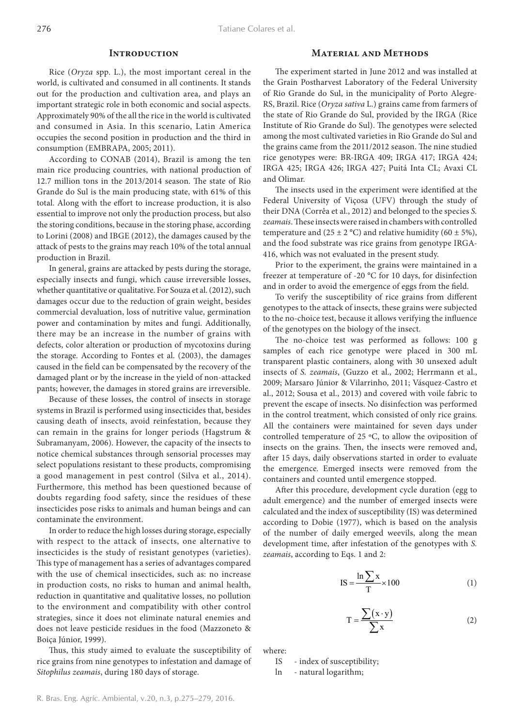#### **INTRODUCTION**

Rice (*Oryza* spp. L.), the most important cereal in the world, is cultivated and consumed in all continents. It stands out for the production and cultivation area, and plays an important strategic role in both economic and social aspects. Approximately 90% of the all the rice in the world is cultivated and consumed in Asia. In this scenario, Latin America occupies the second position in production and the third in consumption (EMBRAPA, 2005; 2011).

According to CONAB (2014), Brazil is among the ten main rice producing countries, with national production of 12.7 million tons in the 2013/2014 season. The state of Rio Grande do Sul is the main producing state, with 61% of this total. Along with the effort to increase production, it is also essential to improve not only the production process, but also the storing conditions, because in the storing phase, according to Lorini (2008) and IBGE (2012), the damages caused by the attack of pests to the grains may reach 10% of the total annual production in Brazil.

In general, grains are attacked by pests during the storage, especially insects and fungi, which cause irreversible losses, whether quantitative or qualitative. For Souza et al. (2012), such damages occur due to the reduction of grain weight, besides commercial devaluation, loss of nutritive value, germination power and contamination by mites and fungi. Additionally, there may be an increase in the number of grains with defects, color alteration or production of mycotoxins during the storage. According to Fontes et al. (2003), the damages caused in the field can be compensated by the recovery of the damaged plant or by the increase in the yield of non-attacked pants; however, the damages in stored grains are irreversible.

Because of these losses, the control of insects in storage systems in Brazil is performed using insecticides that, besides causing death of insects, avoid reinfestation, because they can remain in the grains for longer periods (Hagstrum & Subramanyam, 2006). However, the capacity of the insects to notice chemical substances through sensorial processes may select populations resistant to these products, compromising a good management in pest control (Silva et al., 2014). Furthermore, this method has been questioned because of doubts regarding food safety, since the residues of these insecticides pose risks to animals and human beings and can contaminate the environment.

In order to reduce the high losses during storage, especially with respect to the attack of insects, one alternative to insecticides is the study of resistant genotypes (varieties). This type of management has a series of advantages compared with the use of chemical insecticides, such as: no increase in production costs, no risks to human and animal health, reduction in quantitative and qualitative losses, no pollution to the environment and compatibility with other control strategies, since it does not eliminate natural enemies and does not leave pesticide residues in the food (Mazzoneto & Boiça Júnior, 1999).

Thus, this study aimed to evaluate the susceptibility of rice grains from nine genotypes to infestation and damage of *Sitophilus zeamais*, during 180 days of storage.

#### **Material and Methods**

The experiment started in June 2012 and was installed at the Grain Postharvest Laboratory of the Federal University of Rio Grande do Sul, in the municipality of Porto Alegre-RS, Brazil. Rice (*Oryza sativa* L.) grains came from farmers of the state of Rio Grande do Sul, provided by the IRGA (Rice Institute of Rio Grande do Sul). The genotypes were selected among the most cultivated varieties in Rio Grande do Sul and the grains came from the 2011/2012 season. The nine studied rice genotypes were: BR-IRGA 409; IRGA 417; IRGA 424; IRGA 425; IRGA 426; IRGA 427; Puitá Inta CL; Avaxi CL and Olimar.

The insects used in the experiment were identified at the Federal University of Viçosa (UFV) through the study of their DNA (Corrêa et al., 2012) and belonged to the species *S. zeamais*. These insects were raised in chambers with controlled temperature and  $(25 \pm 2 \degree C)$  and relative humidity  $(60 \pm 5\%)$ , and the food substrate was rice grains from genotype IRGA-416, which was not evaluated in the present study.

Prior to the experiment, the grains were maintained in a freezer at temperature of -20 °C for 10 days, for disinfection and in order to avoid the emergence of eggs from the field.

To verify the susceptibility of rice grains from different genotypes to the attack of insects, these grains were subjected to the no-choice test, because it allows verifying the influence of the genotypes on the biology of the insect.

The no-choice test was performed as follows: 100 g samples of each rice genotype were placed in 300 mL transparent plastic containers, along with 30 unsexed adult insects of *S. zeamais*, (Guzzo et al., 2002; Herrmann et al., 2009; Marsaro Júnior & Vilarrinho, 2011; Vásquez-Castro et al., 2012; Sousa et al., 2013) and covered with voile fabric to prevent the escape of insects. No disinfection was performed in the control treatment, which consisted of only rice grains. All the containers were maintained for seven days under controlled temperature of 25 ºC, to allow the oviposition of insects on the grains. Then, the insects were removed and, after 15 days, daily observations started in order to evaluate the emergence. Emerged insects were removed from the containers and counted until emergence stopped.

After this procedure, development cycle duration (egg to adult emergence) and the number of emerged insects were calculated and the index of susceptibility (IS) was determined according to Dobie (1977), which is based on the analysis of the number of daily emerged weevils, along the mean development time, after infestation of the genotypes with *S. zeamais*, according to Eqs. 1 and 2:

$$
IS = \frac{\ln \sum x}{T} \times 100
$$
 (1)

$$
T = \frac{\sum (x \cdot y)}{\sum x}
$$
 (2)

where:

IS - index of susceptibility;

ln - natural logarithm;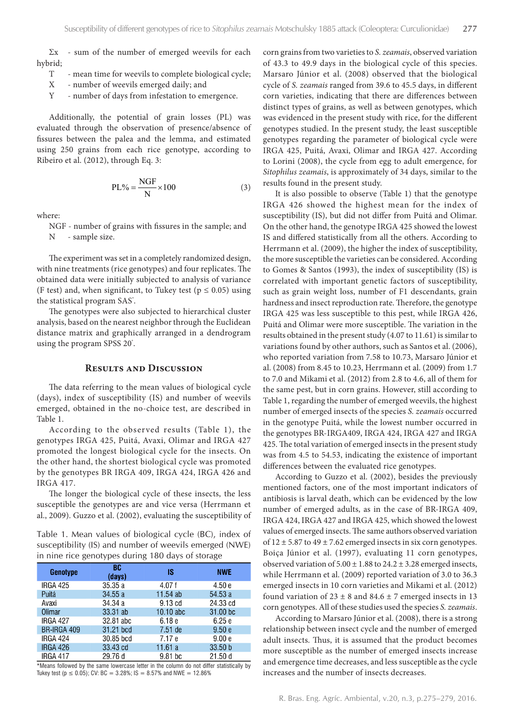$\Sigma$ x - sum of the number of emerged weevils for each hybrid;

- T mean time for weevils to complete biological cycle;
- X number of weevils emerged daily; and
- Y number of days from infestation to emergence.

Additionally, the potential of grain losses (PL) was evaluated through the observation of presence/absence of fissures between the palea and the lemma, and estimated using 250 grains from each rice genotype, according to Ribeiro et al. (2012), through Eq. 3:

$$
PL\% = \frac{NGF}{N} \times 100
$$
 (3)

where:

NGF - number of grains with fissures in the sample; and N - sample size.

The experiment was set in a completely randomized design, with nine treatments (rice genotypes) and four replicates. The obtained data were initially subjected to analysis of variance (F test) and, when significant, to Tukey test ( $p \le 0.05$ ) using the statistical program SAS<sup>\*</sup>.

The genotypes were also subjected to hierarchical cluster analysis, based on the nearest neighbor through the Euclidean distance matrix and graphically arranged in a dendrogram using the program SPSS 20°.

#### **Results and Discussion**

The data referring to the mean values of biological cycle (days), index of susceptibility (IS) and number of weevils emerged, obtained in the no-choice test, are described in Table 1.

According to the observed results (Table 1), the genotypes IRGA 425, Puitá, Avaxi, Olimar and IRGA 427 promoted the longest biological cycle for the insects. On the other hand, the shortest biological cycle was promoted by the genotypes BR IRGA 409, IRGA 424, IRGA 426 and IRGA 417.

The longer the biological cycle of these insects, the less susceptible the genotypes are and vice versa (Herrmann et al., 2009). Guzzo et al. (2002), evaluating the susceptibility of

Table 1. Mean values of biological cycle (BC), index of susceptibility (IS) and number of weevils emerged (NWE) in nine rice genotypes during 180 days of storage

| <b>Genotype</b> | BC<br>(days) | IS          | <b>NWE</b> |
|-----------------|--------------|-------------|------------|
| <b>IRGA 425</b> | 35.35a       | 4.07 f      | 4.50e      |
| Puitá           | 34.55 a      | $11.54$ ab  | 54.53 a    |
| Avaxi           | 34.34 a      | $9.13$ $cd$ | 24.33 cd   |
| Olimar          | 33.31 ab     | 10.10 abc   | 31.00 bc   |
| <b>IRGA 427</b> | 32.81 abc    | 6.18e       | 6.25e      |
| BR-IRGA 409     | 31.21 bcd    | 7.51 de     | 9.50e      |
| <b>IRGA 424</b> | 30.85 bcd    | 7.17e       | 9.00e      |
| <b>IRGA 426</b> | 33.43 cd     | 11.61a      | 33.50 b    |
| <b>IRGA 417</b> | 29.76 d      | 9.81 bc     | 21.50d     |

\*Means followed by the same lowercase letter in the column do not differ statistically by Tukey test ( $p \le 0.05$ ); CV: BC = 3.28%; IS = 8.57% and NWE = 12.86%

corn grains from two varieties to *S. zeamais*, observed variation of 43.3 to 49.9 days in the biological cycle of this species. Marsaro Júnior et al. (2008) observed that the biological cycle of *S. zeamais* ranged from 39.6 to 45.5 days, in different corn varieties, indicating that there are differences between distinct types of grains, as well as between genotypes, which was evidenced in the present study with rice, for the different genotypes studied. In the present study, the least susceptible genotypes regarding the parameter of biological cycle were IRGA 425, Puitá, Avaxi, Olimar and IRGA 427. According to Lorini (2008), the cycle from egg to adult emergence, for *Sitophilus zeamais*, is approximately of 34 days, similar to the results found in the present study.

It is also possible to observe (Table 1) that the genotype IRGA 426 showed the highest mean for the index of susceptibility (IS), but did not differ from Puitá and Olimar. On the other hand, the genotype IRGA 425 showed the lowest IS and differed statistically from all the others. According to Herrmann et al. (2009), the higher the index of susceptibility, the more susceptible the varieties can be considered. According to Gomes & Santos (1993), the index of susceptibility (IS) is correlated with important genetic factors of susceptibility, such as grain weight loss, number of F1 descendants, grain hardness and insect reproduction rate. Therefore, the genotype IRGA 425 was less susceptible to this pest, while IRGA 426, Puitá and Olimar were more susceptible. The variation in the results obtained in the present study (4.07 to 11.61) is similar to variations found by other authors, such as Santos et al. (2006), who reported variation from 7.58 to 10.73, Marsaro Júnior et al. (2008) from 8.45 to 10.23, Herrmann et al. (2009) from 1.7 to 7.0 and Mikami et al. (2012) from 2.8 to 4.6, all of them for the same pest, but in corn grains. However, still according to Table 1, regarding the number of emerged weevils, the highest number of emerged insects of the species *S. zeamais* occurred in the genotype Puitá, while the lowest number occurred in the genotypes BR-IRGA409, IRGA 424, IRGA 427 and IRGA 425. The total variation of emerged insects in the present study was from 4.5 to 54.53, indicating the existence of important differences between the evaluated rice genotypes.

According to Guzzo et al. (2002), besides the previously mentioned factors, one of the most important indicators of antibiosis is larval death, which can be evidenced by the low number of emerged adults, as in the case of BR-IRGA 409, IRGA 424, IRGA 427 and IRGA 425, which showed the lowest values of emerged insects. The same authors observed variation of  $12 \pm 5.87$  to  $49 \pm 7.62$  emerged insects in six corn genotypes. Boiça Júnior et al. (1997), evaluating 11 corn genotypes, observed variation of  $5.00 \pm 1.88$  to  $24.2 \pm 3.28$  emerged insects, while Herrmann et al. (2009) reported variation of 3.0 to 36.3 emerged insects in 10 corn varieties and Mikami et al. (2012) found variation of  $23 \pm 8$  and  $84.6 \pm 7$  emerged insects in 13 corn genotypes. All of these studies used the species *S. zeamais*.

According to Marsaro Júnior et al. (2008), there is a strong relationship between insect cycle and the number of emerged adult insects. Thus, it is assumed that the product becomes more susceptible as the number of emerged insects increase and emergence time decreases, and less susceptible as the cycle increases and the number of insects decreases.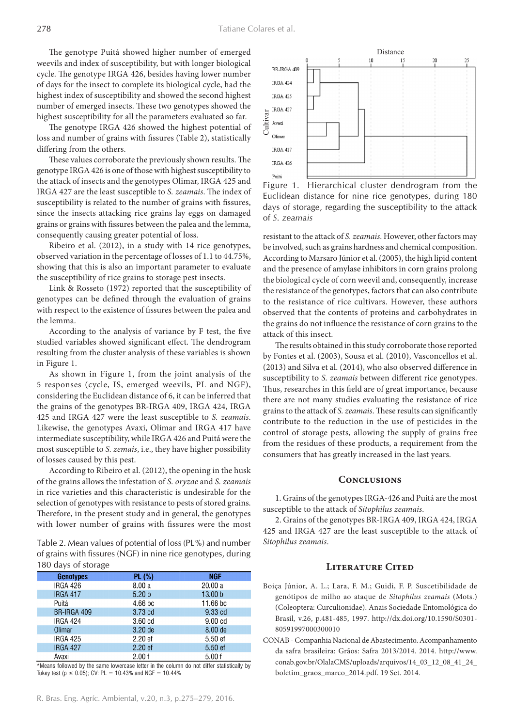The genotype Puitá showed higher number of emerged weevils and index of susceptibility, but with longer biological cycle. The genotype IRGA 426, besides having lower number of days for the insect to complete its biological cycle, had the highest index of susceptibility and showed the second highest number of emerged insects. These two genotypes showed the highest susceptibility for all the parameters evaluated so far.

The genotype IRGA 426 showed the highest potential of loss and number of grains with fissures (Table 2), statistically differing from the others.

These values corroborate the previously shown results. The genotype IRGA 426 is one of those with highest susceptibility to the attack of insects and the genotypes Olimar, IRGA 425 and IRGA 427 are the least susceptible to *S. zeamais*. The index of susceptibility is related to the number of grains with fissures, since the insects attacking rice grains lay eggs on damaged grains or grains with fissures between the palea and the lemma, consequently causing greater potential of loss.

Ribeiro et al. (2012), in a study with 14 rice genotypes, observed variation in the percentage of losses of 1.1 to 44.75%, showing that this is also an important parameter to evaluate the susceptibility of rice grains to storage pest insects.

Link & Rosseto (1972) reported that the susceptibility of genotypes can be defined through the evaluation of grains with respect to the existence of fissures between the palea and the lemma.

According to the analysis of variance by F test, the five studied variables showed significant effect. The dendrogram resulting from the cluster analysis of these variables is shown in Figure 1.

As shown in Figure 1, from the joint analysis of the 5 responses (cycle, IS, emerged weevils, PL and NGF), considering the Euclidean distance of 6, it can be inferred that the grains of the genotypes BR-IRGA 409, IRGA 424, IRGA 425 and IRGA 427 were the least susceptible to *S. zeamais*. Likewise, the genotypes Avaxi, Olimar and IRGA 417 have intermediate susceptibility, while IRGA 426 and Puitá were the most susceptible to *S. zemais*, i.e., they have higher possibility of losses caused by this pest.

According to Ribeiro et al. (2012), the opening in the husk of the grains allows the infestation of *S. oryzae* and *S. zeamais*  in rice varieties and this characteristic is undesirable for the selection of genotypes with resistance to pests of stored grains. Therefore, in the present study and in general, the genotypes with lower number of grains with fissures were the most

Table 2. Mean values of potential of loss (PL%) and number of grains with fissures (NGF) in nine rice genotypes, during 180 days of storage

| <b>Genotypes</b> | <b>PL (%)</b>      | <b>NGF</b>         |
|------------------|--------------------|--------------------|
|                  |                    |                    |
| <b>IRGA 426</b>  | 8.00a              | 20.00 a            |
| <b>IRGA 417</b>  | 5.20 <sub>b</sub>  | 13.00 <sub>b</sub> |
| Puitá            | 4.66 <sub>bc</sub> | 11.66 bc           |
| BR-IRGA 409      | 3.73 cd            | 9.33 cd            |
| <b>IRGA 424</b>  | 3.60 <sub>cd</sub> | 9.00 <sub>cd</sub> |
| Olimar           | $3.20$ de          | 8.00 de            |
| <b>IRGA 425</b>  | 2.20 <sub>ef</sub> | 5.50 ef            |
| <b>IRGA 427</b>  | $2.20$ ef          | $5.50$ ef          |
| Avaxi            | 2.00 f             | 5.00f              |

\*Means followed by the same lowercase letter in the column do not differ statistically by Tukey test ( $p \le 0.05$ ); CV: PL = 10.43% and NGF = 10.44%



Figure 1. Hierarchical cluster dendrogram from the Euclidean distance for nine rice genotypes, during 180 days of storage, regarding the susceptibility to the attack

resistant to the attack of *S. zeamais*. However, other factors may be involved, such as grains hardness and chemical composition. According to Marsaro Júnior et al. (2005), the high lipid content and the presence of amylase inhibitors in corn grains prolong the biological cycle of corn weevil and, consequently, increase the resistance of the genotypes, factors that can also contribute to the resistance of rice cultivars. However, these authors observed that the contents of proteins and carbohydrates in the grains do not influence the resistance of corn grains to the attack of this insect.

The results obtained in this study corroborate those reported by Fontes et al. (2003), Sousa et al. (2010), Vasconcellos et al. (2013) and Silva et al. (2014), who also observed difference in susceptibility to *S. zeamais* between different rice genotypes. Thus, researches in this field are of great importance, because there are not many studies evaluating the resistance of rice grains to the attack of *S. zeamais*. These results can significantly contribute to the reduction in the use of pesticides in the control of storage pests, allowing the supply of grains free from the residues of these products, a requirement from the consumers that has greatly increased in the last years.

#### **Conclusions**

1. Grains of the genotypes IRGA-426 and Puitá are the most susceptible to the attack of *Sitophilus zeamais*.

2. Grains of the genotypes BR-IRGA 409, IRGA 424, IRGA 425 and IRGA 427 are the least susceptible to the attack of *Sitophilus zeamais*.

#### **Literature Cited**

- Boiça Júnior, A. L.; Lara, F. M.; Guidi, F. P. Suscetibilidade de genótipos de milho ao ataque de *Sitophilus zeamais* (Mots.) (Coleoptera: Curculionidae). Anais Sociedade Entomológica do Brasil, v.26, p.481-485, 1997. http://dx.doi.org/10.1590/S0301- 80591997000300010
- CONAB Companhia Nacional de Abastecimento. Acompanhamento da safra brasileira: Grãos: Safra 2013/2014. 2014. http://www. conab.gov.br/OlalaCMS/uploads/arquivos/14\_03\_12\_08\_41\_24\_ boletim\_graos\_marco\_2014.pdf. 19 Set. 2014.